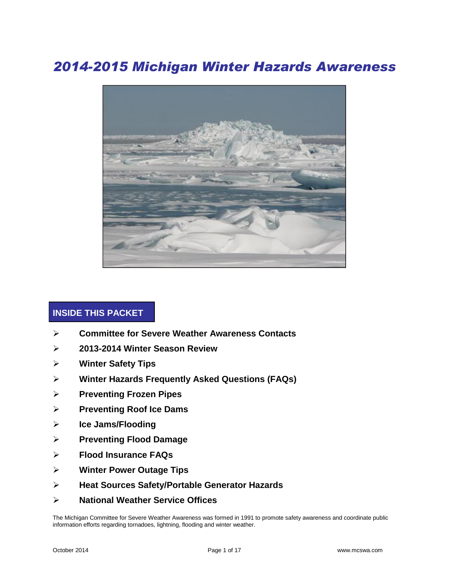## *2014-2015 Michigan Winter Hazards Awareness*



### **INSIDE THIS PACKET**

- **Committee for Severe Weather Awareness Contacts**
- **2013-2014 Winter Season Review**
- **Winter Safety Tips**
- **Winter Hazards Frequently Asked Questions (FAQs)**
- **Preventing Frozen Pipes**
- **Preventing Roof Ice Dams**
- **Ice Jams/Flooding**
- **Preventing Flood Damage**
- **Flood Insurance FAQs**
- **Winter Power Outage Tips**
- **Heat Sources Safety/Portable Generator Hazards**
- **National Weather Service Offices**

The Michigan Committee for Severe Weather Awareness was formed in 1991 to promote safety awareness and coordinate public information efforts regarding tornadoes, lightning, flooding and winter weather.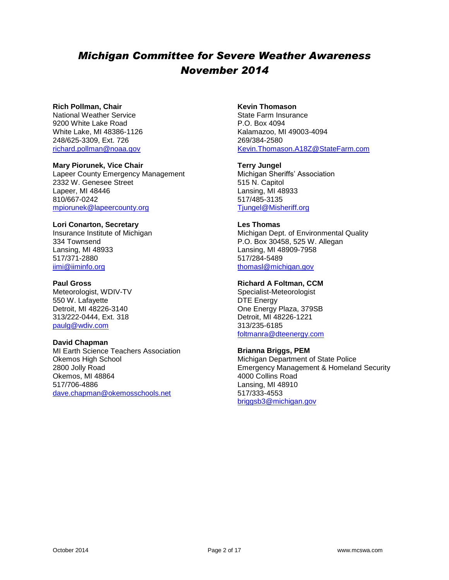## *Michigan Committee for Severe Weather Awareness November 2014*

#### **Rich Pollman, Chair**

National Weather Service 9200 White Lake Road White Lake, MI 48386-1126 248/625-3309, Ext. 726 [richard.pollman@noaa.gov](mailto:Richard.pollman@noaa.gov)

#### **Mary Piorunek, Vice Chair**

Lapeer County Emergency Management 2332 W. Genesee Street Lapeer, MI 48446 810/667-0242 [mpiorunek@lapeercounty.org](mailto:mpiorunek@lapeercounty.org)

#### **Lori Conarton, Secretary**

Insurance Institute of Michigan 334 Townsend Lansing, MI 48933 517/371-2880 [iimi@iiminfo.org](mailto:iimi@iiminfo.org)

#### **Paul Gross**

Meteorologist, WDIV-TV 550 W. Lafayette Detroit, MI 48226-3140 313/222-0444, Ext. 318 [paulg@wdiv.com](mailto:paulg@wdiv.com)

#### **David Chapman**

MI Earth Science Teachers Association Okemos High School 2800 Jolly Road Okemos, MI 48864 517/706-4886 [dave.chapman@okemosschools.net](mailto:dave.chapman@okemosschools.net)

**Kevin Thomason** State Farm Insurance P.O. Box 4094 Kalamazoo, MI 49003-4094 269/384-2580 [Kevin.Thomason.A18Z@StateFarm.com](mailto:Kevin.Thomason.A18Z@StateFarm.com)

**Terry Jungel** Michigan Sheriffs' Association 515 N. Capitol Lansing, MI 48933 517/485-3135 [Tjungel@Misheriff.org](mailto:Tjungel@Misheriff.org)

#### **Les Thomas**

Michigan Dept. of Environmental Quality P.O. Box 30458, 525 W. Allegan Lansing, MI 48909-7958 517/284-5489 [thomasl@michigan.gov](mailto:thomasl@michigan.gov)

#### **Richard A Foltman, CCM**

Specialist-Meteorologist DTE Energy One Energy Plaza, 379SB Detroit, MI 48226-1221 313/235-6185 [foltmanra@dteenergy.com](mailto:foltmanra@dteenergy.com)

#### **Brianna Briggs, PEM**

Michigan Department of State Police Emergency Management & Homeland Security 4000 Collins Road Lansing, MI 48910 517/333-4553 [briggsb3@michigan.gov](mailto:Currinb@michigan.gov)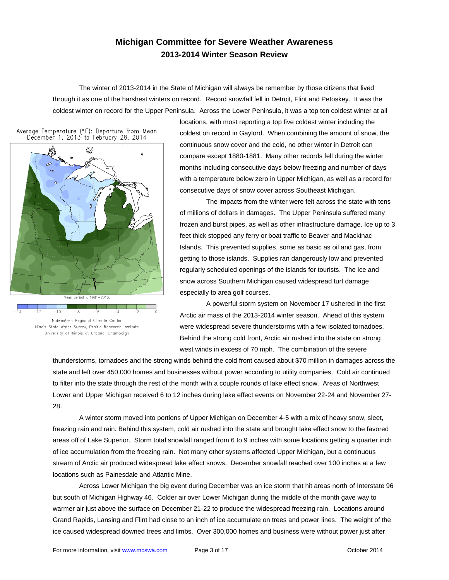### **Michigan Committee for Severe Weather Awareness 2013-2014 Winter Season Review**

The winter of 2013-2014 in the State of Michigan will always be remember by those citizens that lived through it as one of the harshest winters on record. Record snowfall fell in Detroit, Flint and Petoskey. It was the coldest winter on record for the Upper Peninsula. Across the Lower Peninsula, it was a top ten coldest winter at all

Average Temperature (°F): Departure from Mean December 1, 2013 to February 28, 2014



Midwestern Regional Climate Center Illinois State Water Survey, Prairie Research Institute University of Illinois at Urbana-Champaian

locations, with most reporting a top five coldest winter including the coldest on record in Gaylord. When combining the amount of snow, the continuous snow cover and the cold, no other winter in Detroit can compare except 1880-1881. Many other records fell during the winter months including consecutive days below freezing and number of days with a temperature below zero in Upper Michigan, as well as a record for consecutive days of snow cover across Southeast Michigan.

The impacts from the winter were felt across the state with tens of millions of dollars in damages. The Upper Peninsula suffered many frozen and burst pipes, as well as other infrastructure damage. Ice up to 3 feet thick stopped any ferry or boat traffic to Beaver and Mackinac Islands. This prevented supplies, some as basic as oil and gas, from getting to those islands. Supplies ran dangerously low and prevented regularly scheduled openings of the islands for tourists. The ice and snow across Southern Michigan caused widespread turf damage especially to area golf courses.

A powerful storm system on November 17 ushered in the first Arctic air mass of the 2013-2014 winter season. Ahead of this system were widespread severe thunderstorms with a few isolated tornadoes. Behind the strong cold front, Arctic air rushed into the state on strong west winds in excess of 70 mph. The combination of the severe

thunderstorms, tornadoes and the strong winds behind the cold front caused about \$70 million in damages across the state and left over 450,000 homes and businesses without power according to utility companies. Cold air continued to filter into the state through the rest of the month with a couple rounds of lake effect snow. Areas of Northwest Lower and Upper Michigan received 6 to 12 inches during lake effect events on November 22-24 and November 27- 28.

A winter storm moved into portions of Upper Michigan on December 4-5 with a mix of heavy snow, sleet, freezing rain and rain. Behind this system, cold air rushed into the state and brought lake effect snow to the favored areas off of Lake Superior. Storm total snowfall ranged from 6 to 9 inches with some locations getting a quarter inch of ice accumulation from the freezing rain. Not many other systems affected Upper Michigan, but a continuous stream of Arctic air produced widespread lake effect snows. December snowfall reached over 100 inches at a few locations such as Painesdale and Atlantic Mine.

Across Lower Michigan the big event during December was an ice storm that hit areas north of Interstate 96 but south of Michigan Highway 46. Colder air over Lower Michigan during the middle of the month gave way to warmer air just above the surface on December 21-22 to produce the widespread freezing rain. Locations around Grand Rapids, Lansing and Flint had close to an inch of ice accumulate on trees and power lines. The weight of the ice caused widespread downed trees and limbs. Over 300,000 homes and business were without power just after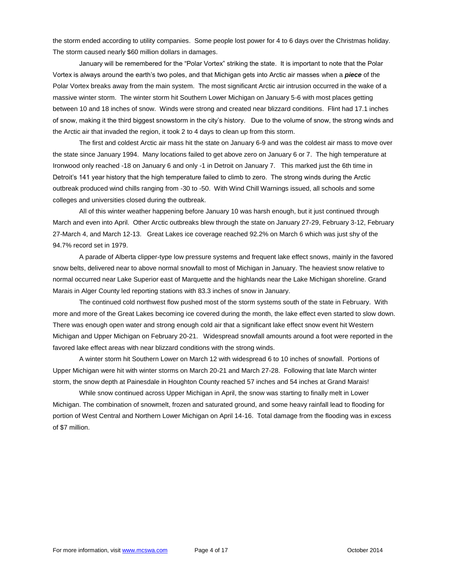the storm ended according to utility companies. Some people lost power for 4 to 6 days over the Christmas holiday. The storm caused nearly \$60 million dollars in damages.

January will be remembered for the "Polar Vortex" striking the state. It is important to note that the Polar Vortex is always around the earth's two poles, and that Michigan gets into Arctic air masses when a *piece* of the Polar Vortex breaks away from the main system. The most significant Arctic air intrusion occurred in the wake of a massive winter storm. The winter storm hit Southern Lower Michigan on January 5-6 with most places getting between 10 and 18 inches of snow. Winds were strong and created near blizzard conditions. Flint had 17.1 inches of snow, making it the third biggest snowstorm in the city's history. Due to the volume of snow, the strong winds and the Arctic air that invaded the region, it took 2 to 4 days to clean up from this storm.

The first and coldest Arctic air mass hit the state on January 6-9 and was the coldest air mass to move over the state since January 1994. Many locations failed to get above zero on January 6 or 7. The high temperature at Ironwood only reached -18 on January 6 and only -1 in Detroit on January 7. This marked just the 6th time in Detroit's 141 year history that the high temperature failed to climb to zero. The strong winds during the Arctic outbreak produced wind chills ranging from -30 to -50. With Wind Chill Warnings issued, all schools and some colleges and universities closed during the outbreak.

All of this winter weather happening before January 10 was harsh enough, but it just continued through March and even into April. Other Arctic outbreaks blew through the state on January 27-29, February 3-12, February 27-March 4, and March 12-13. Great Lakes ice coverage reached 92.2% on March 6 which was just shy of the 94.7% record set in 1979.

A parade of Alberta clipper-type low pressure systems and frequent lake effect snows, mainly in the favored snow belts, delivered near to above normal snowfall to most of Michigan in January. The heaviest snow relative to normal occurred near Lake Superior east of Marquette and the highlands near the Lake Michigan shoreline. Grand Marais in Alger County led reporting stations with 83.3 inches of snow in January.

The continued cold northwest flow pushed most of the storm systems south of the state in February. With more and more of the Great Lakes becoming ice covered during the month, the lake effect even started to slow down. There was enough open water and strong enough cold air that a significant lake effect snow event hit Western Michigan and Upper Michigan on February 20-21. Widespread snowfall amounts around a foot were reported in the favored lake effect areas with near blizzard conditions with the strong winds.

A winter storm hit Southern Lower on March 12 with widespread 6 to 10 inches of snowfall. Portions of Upper Michigan were hit with winter storms on March 20-21 and March 27-28. Following that late March winter storm, the snow depth at Painesdale in Houghton County reached 57 inches and 54 inches at Grand Marais!

While snow continued across Upper Michigan in April, the snow was starting to finally melt in Lower Michigan. The combination of snowmelt, frozen and saturated ground, and some heavy rainfall lead to flooding for portion of West Central and Northern Lower Michigan on April 14-16. Total damage from the flooding was in excess of \$7 million.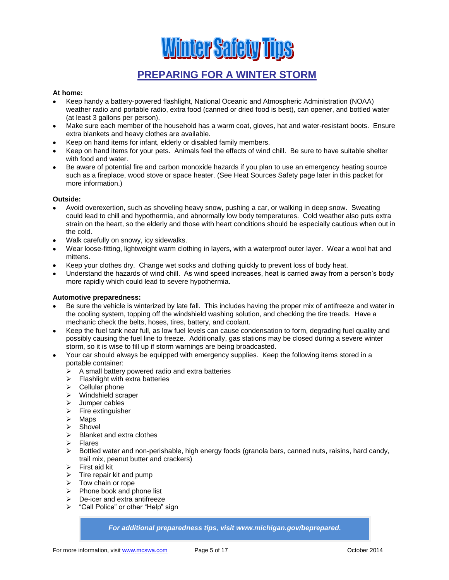## **Winter Safety Lins**

### **PREPARING FOR A WINTER STORM**

#### **At home:**

- Keep handy a battery-powered flashlight, National Oceanic and Atmospheric Administration (NOAA) weather radio and portable radio, extra food (canned or dried food is best), can opener, and bottled water (at least 3 gallons per person).
- Make sure each member of the household has a warm coat, gloves, hat and water-resistant boots. Ensure extra blankets and heavy clothes are available.
- Keep on hand items for infant, elderly or disabled family members.
- Keep on hand items for your pets. Animals feel the effects of wind chill. Be sure to have suitable shelter with food and water.
- Be aware of potential fire and carbon monoxide hazards if you plan to use an emergency heating source such as a fireplace, wood stove or space heater. (See Heat Sources Safety page later in this packet for more information.)

#### **Outside:**

- Avoid overexertion, such as shoveling heavy snow, pushing a car, or walking in deep snow. Sweating could lead to chill and hypothermia, and abnormally low body temperatures. Cold weather also puts extra strain on the heart, so the elderly and those with heart conditions should be especially cautious when out in the cold.
- Walk carefully on snowy, icy sidewalks.
- Wear loose-fitting, lightweight warm clothing in layers, with a waterproof outer layer. Wear a wool hat and mittens.
- Keep your clothes dry. Change wet socks and clothing quickly to prevent loss of body heat.
- Understand the hazards of wind chill. As wind speed increases, heat is carried away from a person's body more rapidly which could lead to severe hypothermia.

#### **Automotive preparedness:**

- Be sure the vehicle is winterized by late fall. This includes having the proper mix of antifreeze and water in the cooling system, topping off the windshield washing solution, and checking the tire treads. Have a mechanic check the belts, hoses, tires, battery, and coolant.
- Keep the fuel tank near full, as low fuel levels can cause condensation to form, degrading fuel quality and possibly causing the fuel line to freeze. Additionally, gas stations may be closed during a severe winter storm, so it is wise to fill up if storm warnings are being broadcasted.
- Your car should always be equipped with emergency supplies. Keep the following items stored in a portable container:
	- $\triangleright$  A small battery powered radio and extra batteries
	- $\triangleright$  Flashlight with extra batteries
	- $\triangleright$  Cellular phone
	- Windshield scraper
	- $\triangleright$  Jumper cables
	- $\triangleright$  Fire extinguisher
	- $\triangleright$  Maps
	- $\triangleright$  Shovel
	- $\triangleright$  Blanket and extra clothes
	- $\triangleright$  Flares
	- $\triangleright$  Bottled water and non-perishable, high energy foods (granola bars, canned nuts, raisins, hard candy, trail mix, peanut butter and crackers)
	- $\triangleright$  First aid kit
	- $\triangleright$  Tire repair kit and pump
	- $\triangleright$  Tow chain or rope
	- $\triangleright$  Phone book and phone list
	- $\triangleright$  De-icer and extra antifreeze
	- > "Call Police" or other "Help" sign

*For additional preparedness tips, visit www.michigan.gov/beprepared.*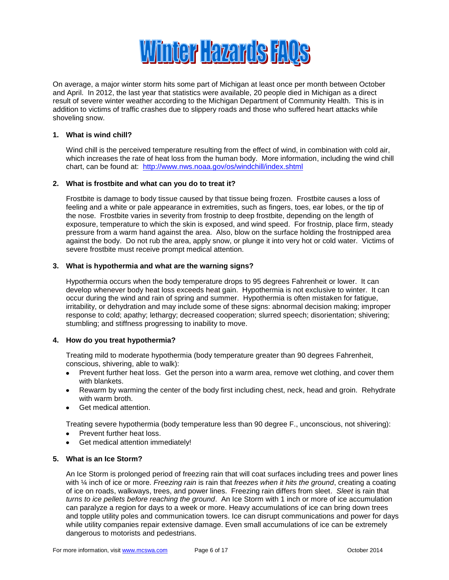

On average, a major winter storm hits some part of Michigan at least once per month between October and April. In 2012, the last year that statistics were available, 20 people died in Michigan as a direct result of severe winter weather according to the Michigan Department of Community Health. This is in addition to victims of traffic crashes due to slippery roads and those who suffered heart attacks while shoveling snow.

#### **1. What is wind chill?**

Wind chill is the perceived temperature resulting from the effect of wind, in combination with cold air, which increases the rate of heat loss from the human body. More information, including the wind chill chart, can be found at: <http://www.nws.noaa.gov/os/windchill/index.shtml>

#### **2. What is frostbite and what can you do to treat it?**

Frostbite is damage to body tissue caused by that tissue being frozen. Frostbite causes a loss of feeling and a white or pale appearance in extremities, such as fingers, toes, ear lobes, or the tip of the nose. Frostbite varies in severity from frostnip to deep frostbite, depending on the length of exposure, temperature to which the skin is exposed, and wind speed. For frostnip, place firm, steady pressure from a warm hand against the area. Also, blow on the surface holding the frostnipped area against the body. Do not rub the area, apply snow, or plunge it into very hot or cold water. Victims of severe frostbite must receive prompt medical attention.

#### **3. What is hypothermia and what are the warning signs?**

Hypothermia occurs when the body temperature drops to 95 degrees Fahrenheit or lower. It can develop whenever body heat loss exceeds heat gain. Hypothermia is not exclusive to winter. It can occur during the wind and rain of spring and summer. Hypothermia is often mistaken for fatigue, irritability, or dehydration and may include some of these signs: abnormal decision making; improper response to cold; apathy; lethargy; decreased cooperation; slurred speech; disorientation; shivering; stumbling; and stiffness progressing to inability to move.

#### **4. How do you treat hypothermia?**

Treating mild to moderate hypothermia (body temperature greater than 90 degrees Fahrenheit, conscious, shivering, able to walk):

- Prevent further heat loss. Get the person into a warm area, remove wet clothing, and cover them  $\bullet$ with blankets.
- Rewarm by warming the center of the body first including chest, neck, head and groin. Rehydrate with warm broth.
- Get medical attention.

Treating severe hypothermia (body temperature less than 90 degree F., unconscious, not shivering):

- Prevent further heat loss.
- Get medical attention immediately!

#### **5. What is an Ice Storm?**

An Ice Storm is prolonged period of freezing rain that will coat surfaces including trees and power lines with ¼ inch of ice or more. *Freezing rain* is rain that *freezes when it hits the ground*, creating a coating of ice on roads, walkways, trees, and power lines. Freezing rain differs from sleet. *Sleet* is rain that *turns to ice pellets before reaching the ground*. An Ice Storm with 1 inch or more of ice accumulation can paralyze a region for days to a week or more. Heavy accumulations of ice can bring down trees and topple utility poles and communication towers. Ice can disrupt communications and power for days while utility companies repair extensive damage. Even small accumulations of ice can be extremely dangerous to motorists and pedestrians.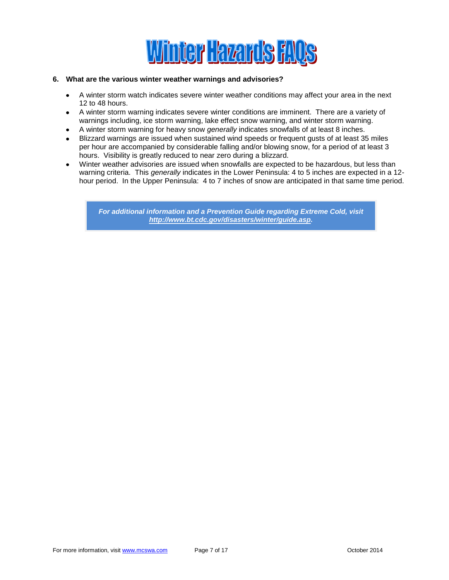

#### **6. What are the various winter weather warnings and advisories?**

- A winter storm watch indicates severe winter weather conditions may affect your area in the next 12 to 48 hours.
- A winter storm warning indicates severe winter conditions are imminent. There are a variety of warnings including, ice storm warning, lake effect snow warning, and winter storm warning.
- A winter storm warning for heavy snow *generally* indicates snowfalls of at least 8 inches.  $\bullet$
- Blizzard warnings are issued when sustained wind speeds or frequent gusts of at least 35 miles per hour are accompanied by considerable falling and/or blowing snow, for a period of at least 3 hours. Visibility is greatly reduced to near zero during a blizzard.
- Winter weather advisories are issued when snowfalls are expected to be hazardous, but less than warning criteria. This *generally* indicates in the Lower Peninsula: 4 to 5 inches are expected in a 12 hour period. In the Upper Peninsula: 4 to 7 inches of snow are anticipated in that same time period.

*For additional information and a Prevention Guide regarding Extreme Cold, visit [http://www.bt.cdc.gov/disasters/winter/guide.asp.](http://www.bt.cdc.gov/disasters/winter/guide.asp)*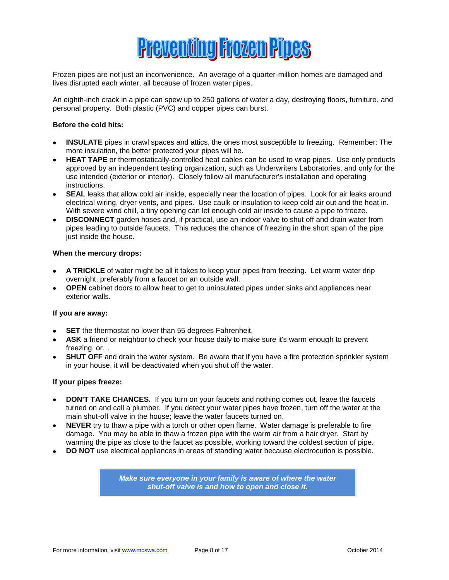## **Preventing Frozen Pines**

Frozen pipes are not just an inconvenience. An average of a quarter-million homes are damaged and lives disrupted each winter, all because of frozen water pipes.

An eighth-inch crack in a pipe can spew up to 250 gallons of water a day, destroying floors, furniture, and personal property. Both plastic (PVC) and copper pipes can burst.

#### **Before the cold hits:**

- **INSULATE** pipes in crawl spaces and attics, the ones most susceptible to freezing. Remember: The more insulation, the better protected your pipes will be.
- **HEAT TAPE** or thermostatically-controlled heat cables can be used to wrap pipes. Use only products approved by an independent testing organization, such as Underwriters Laboratories, and only for the use intended (exterior or interior). Closely follow all manufacturer's installation and operating instructions.
- **SEAL** leaks that allow cold air inside, especially near the location of pipes. Look for air leaks around electrical wiring, dryer vents, and pipes. Use caulk or insulation to keep cold air out and the heat in. With severe wind chill, a tiny opening can let enough cold air inside to cause a pipe to freeze.
- **DISCONNECT** garden hoses and, if practical, use an indoor valve to shut off and drain water from pipes leading to outside faucets. This reduces the chance of freezing in the short span of the pipe just inside the house.

#### **When the mercury drops:**

- **A TRICKLE** of water might be all it takes to keep your pipes from freezing. Let warm water drip overnight, preferably from a faucet on an outside wall.
- **OPEN** cabinet doors to allow heat to get to uninsulated pipes under sinks and appliances near exterior walls.

#### **If you are away:**

- **SET** the thermostat no lower than 55 degrees Fahrenheit.
- **ASK** a friend or neighbor to check your house daily to make sure it's warm enough to prevent freezing, or…
- **SHUT OFF** and drain the water system. Be aware that if you have a fire protection sprinkler system in your house, it will be deactivated when you shut off the water.

#### **If your pipes freeze:**

- **DON'T TAKE CHANCES.** If you turn on your faucets and nothing comes out, leave the faucets turned on and call a plumber. If you detect your water pipes have frozen, turn off the water at the main shut-off valve in the house; leave the water faucets turned on.
- **NEVER** try to thaw a pipe with a torch or other open flame. Water damage is preferable to fire damage. You may be able to thaw a frozen pipe with the warm air from a hair dryer. Start by warming the pipe as close to the faucet as possible, working toward the coldest section of pipe.
- **DO NOT** use electrical appliances in areas of standing water because electrocution is possible.

*Make sure everyone in your family is aware of where the water shut-off valve is and how to open and close it.*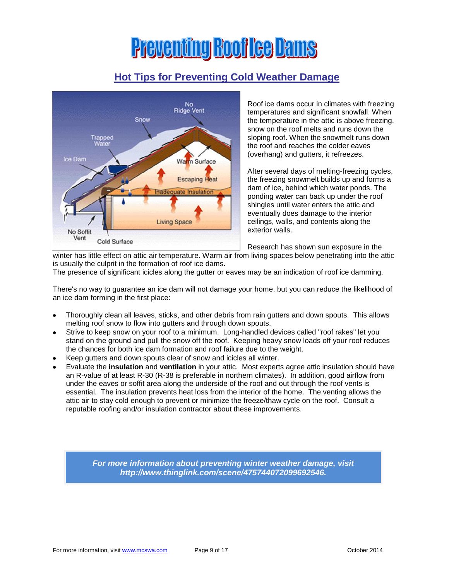## **Preventing Roof Ice Dams**

## **Hot Tips for Preventing Cold Weather Damage**



Roof ice dams occur in climates with freezing temperatures and significant snowfall. When the temperature in the attic is above freezing, snow on the roof melts and runs down the sloping roof. When the snowmelt runs down the roof and reaches the colder eaves (overhang) and gutters, it refreezes.

After several days of melting-freezing cycles, the freezing snowmelt builds up and forms a dam of ice, behind which water ponds. The ponding water can back up under the roof shingles until water enters the attic and eventually does damage to the interior ceilings, walls, and contents along the exterior walls.

Research has shown sun exposure in the

winter has little effect on attic air temperature. Warm air from living spaces below penetrating into the attic is usually the culprit in the formation of roof ice dams.

The presence of significant icicles along the gutter or eaves may be an indication of roof ice damming.

There's no way to guarantee an ice dam will not damage your home, but you can reduce the likelihood of an ice dam forming in the first place:

- Thoroughly clean all leaves, sticks, and other debris from rain gutters and down spouts. This allows melting roof snow to flow into gutters and through down spouts.
- Strive to keep snow on your roof to a minimum. Long-handled devices called "roof rakes" let you stand on the ground and pull the snow off the roof. Keeping heavy snow loads off your roof reduces the chances for both ice dam formation and roof failure due to the weight.
- Keep gutters and down spouts clear of snow and icicles all winter.
- Evaluate the **insulation** and **ventilation** in your attic. Most experts agree attic insulation should have an R-value of at least R-30 (R-38 is preferable in northern climates). In addition, good airflow from under the eaves or soffit area along the underside of the roof and out through the roof vents is essential. The insulation prevents heat loss from the interior of the home. The venting allows the attic air to stay cold enough to prevent or minimize the freeze/thaw cycle on the roof. Consult a reputable roofing and/or insulation contractor about these improvements.

*For more information about preventing winter weather damage, visit http://www.thinglink.com/scene/475744072099692546.*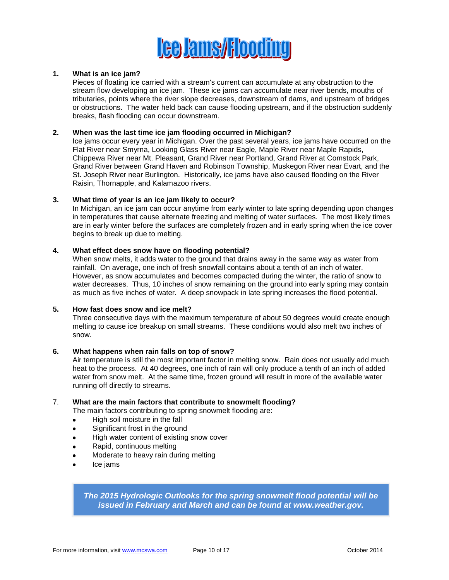

#### **1. What is an ice jam?**

Pieces of floating ice carried with a stream's current can accumulate at any obstruction to the stream flow developing an ice jam. These ice jams can accumulate near river bends, mouths of tributaries, points where the river slope decreases, downstream of dams, and upstream of bridges or obstructions. The water held back can cause flooding upstream, and if the obstruction suddenly breaks, flash flooding can occur downstream.

#### **2. When was the last time ice jam flooding occurred in Michigan?**

Ice jams occur every year in Michigan. Over the past several years, ice jams have occurred on the Flat River near Smyrna, Looking Glass River near Eagle, Maple River near Maple Rapids, Chippewa River near Mt. Pleasant, Grand River near Portland, Grand River at Comstock Park, Grand River between Grand Haven and Robinson Township, Muskegon River near Evart, and the St. Joseph River near Burlington. Historically, ice jams have also caused flooding on the River Raisin, Thornapple, and Kalamazoo rivers.

#### **3. What time of year is an ice jam likely to occur?**

In Michigan, an ice jam can occur anytime from early winter to late spring depending upon changes in temperatures that cause alternate freezing and melting of water surfaces. The most likely times are in early winter before the surfaces are completely frozen and in early spring when the ice cover begins to break up due to melting.

#### **4. What effect does snow have on flooding potential?**

When snow melts, it adds water to the ground that drains away in the same way as water from rainfall. On average, one inch of fresh snowfall contains about a tenth of an inch of water. However, as snow accumulates and becomes compacted during the winter, the ratio of snow to water decreases. Thus, 10 inches of snow remaining on the ground into early spring may contain as much as five inches of water. A deep snowpack in late spring increases the flood potential.

#### **5. How fast does snow and ice melt?**

Three consecutive days with the maximum temperature of about 50 degrees would create enough melting to cause ice breakup on small streams. These conditions would also melt two inches of snow.

#### **6. What happens when rain falls on top of snow?**

Air temperature is still the most important factor in melting snow. Rain does not usually add much heat to the process. At 40 degrees, one inch of rain will only produce a tenth of an inch of added water from snow melt. At the same time, frozen ground will result in more of the available water running off directly to streams.

#### 7. **What are the main factors that contribute to snowmelt flooding?**

The main factors contributing to spring snowmelt flooding are:

- High soil moisture in the fall  $\bullet$
- Significant frost in the ground
- High water content of existing snow cover  $\bullet$
- Rapid, continuous melting
- Moderate to heavy rain during melting
- Ice jams

*The 2015 Hydrologic Outlooks for the spring snowmelt flood potential will be issued in February and March and can be found at www.weather.gov.*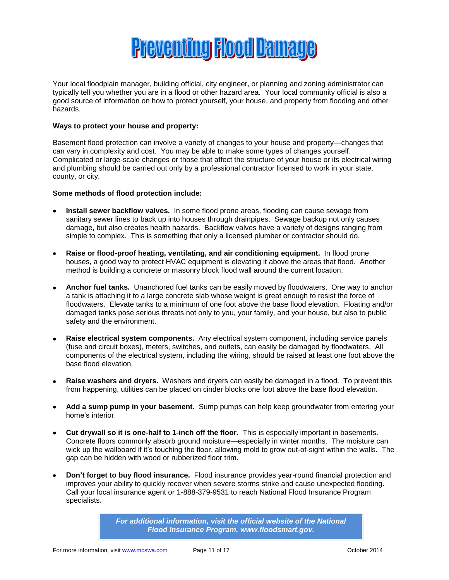## **Preventing Flood Damage**

Your local floodplain manager, building official, city engineer, or planning and zoning administrator can typically tell you whether you are in a flood or other hazard area. Your local community official is also a good source of information on how to protect yourself, your house, and property from flooding and other hazards.

#### **Ways to protect your house and property:**

Basement flood protection can involve a variety of changes to your house and property—changes that can vary in complexity and cost. You may be able to make some types of changes yourself. Complicated or large-scale changes or those that affect the structure of your house or its electrical wiring and plumbing should be carried out only by a professional contractor licensed to work in your state, county, or city.

#### **Some methods of flood protection include:**

- **Install sewer backflow valves.** In some flood prone areas, flooding can cause sewage from sanitary sewer lines to back up into houses through drainpipes. Sewage backup not only causes damage, but also creates health hazards. Backflow valves have a variety of designs ranging from simple to complex. This is something that only a licensed plumber or contractor should do.
- **Raise or flood-proof heating, ventilating, and air conditioning equipment.** In flood prone houses, a good way to protect HVAC equipment is elevating it above the areas that flood. Another method is building a concrete or masonry block flood wall around the current location.
- **Anchor fuel tanks.** Unanchored fuel tanks can be easily moved by floodwaters. One way to anchor a tank is attaching it to a large concrete slab whose weight is great enough to resist the force of floodwaters. Elevate tanks to a minimum of one foot above the base flood elevation. Floating and/or damaged tanks pose serious threats not only to you, your family, and your house, but also to public safety and the environment.
- **Raise electrical system components.** Any electrical system component, including service panels (fuse and circuit boxes), meters, switches, and outlets, can easily be damaged by floodwaters. All components of the electrical system, including the wiring, should be raised at least one foot above the base flood elevation.
- **Raise washers and dryers.** Washers and dryers can easily be damaged in a flood. To prevent this from happening, utilities can be placed on cinder blocks one foot above the base flood elevation.
- **Add a sump pump in your basement.** Sump pumps can help keep groundwater from entering your home's interior.
- **Cut drywall so it is one-half to 1-inch off the floor.** This is especially important in basements. Concrete floors commonly absorb ground moisture—especially in winter months. The moisture can wick up the wallboard if it's touching the floor, allowing mold to grow out-of-sight within the walls. The gap can be hidden with wood or rubberized floor trim.
- **Don't forget to buy flood insurance.** Flood insurance provides year-round financial protection and improves your ability to quickly recover when severe storms strike and cause unexpected flooding. Call your local insurance agent or 1-888-379-9531 to reach National Flood Insurance Program specialists.

*For additional information, visit the official website of the National Flood Insurance Program, www.floodsmart.gov.*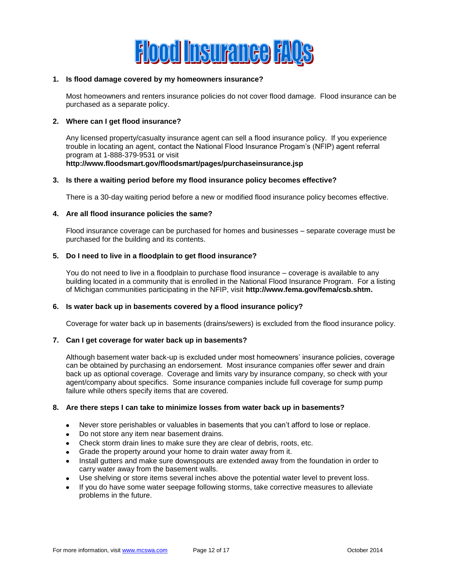

#### **1. Is flood damage covered by my homeowners insurance?**

Most homeowners and renters insurance policies do not cover flood damage. Flood insurance can be purchased as a separate policy.

#### **2. Where can I get flood insurance?**

Any licensed property/casualty insurance agent can sell a flood insurance policy. If you experience trouble in locating an agent, contact the National Flood Insurance Progam's (NFIP) agent referral program at 1-888-379-9531 or visit **<http://www.floodsmart.gov/floodsmart/pages/purchaseinsurance.jsp>**

## **3. Is there a waiting period before my flood insurance policy becomes effective?**

There is a 30-day waiting period before a new or modified flood insurance policy becomes effective.

#### **4. Are all flood insurance policies the same?**

Flood insurance coverage can be purchased for homes and businesses – separate coverage must be purchased for the building and its contents.

#### **5. Do I need to live in a floodplain to get flood insurance?**

You do not need to live in a floodplain to purchase flood insurance – coverage is available to any building located in a community that is enrolled in the National Flood Insurance Program. For a listing of Michigan communities participating in the NFIP, visit **[http://www.fema.gov/fema/csb.shtm.](http://www.fema.gov/fema/csb.shtm)**

#### **6. Is water back up in basements covered by a flood insurance policy?**

Coverage for water back up in basements (drains/sewers) is excluded from the flood insurance policy.

#### **7. Can I get coverage for water back up in basements?**

Although basement water back-up is excluded under most homeowners' insurance policies, coverage can be obtained by purchasing an endorsement. Most insurance companies offer sewer and drain back up as optional coverage. Coverage and limits vary by insurance company, so check with your agent/company about specifics. Some insurance companies include full coverage for sump pump failure while others specify items that are covered.

#### **8. Are there steps I can take to minimize losses from water back up in basements?**

- Never store perishables or valuables in basements that you can't afford to lose or replace.
- Do not store any item near basement drains.
- Check storm drain lines to make sure they are clear of debris, roots, etc.
- Grade the property around your home to drain water away from it.
- Install gutters and make sure downspouts are extended away from the foundation in order to carry water away from the basement walls.
- Use shelving or store items several inches above the potential water level to prevent loss.
- If you do have some water seepage following storms, take corrective measures to alleviate problems in the future.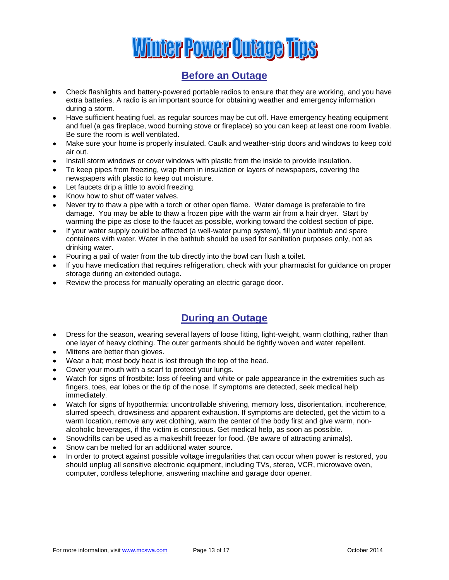## **Winter Power Outage Tips**

### **Before an Outage**

- Check flashlights and battery-powered portable radios to ensure that they are working, and you have extra batteries. A radio is an important source for obtaining weather and emergency information during a storm.
- Have sufficient heating fuel, as regular sources may be cut off. Have emergency heating equipment and fuel (a gas fireplace, wood burning stove or fireplace) so you can keep at least one room livable. Be sure the room is well ventilated.
- Make sure your home is properly insulated. Caulk and weather-strip doors and windows to keep cold air out.
- Install storm windows or cover windows with plastic from the inside to provide insulation.
- To keep pipes from freezing, wrap them in insulation or layers of newspapers, covering the newspapers with plastic to keep out moisture.
- Let faucets drip a little to avoid freezing.
- Know how to shut off water valves.
- Never try to thaw a pipe with a torch or other open flame. Water damage is preferable to fire damage. You may be able to thaw a frozen pipe with the warm air from a hair dryer. Start by warming the pipe as close to the faucet as possible, working toward the coldest section of pipe.
- If your water supply could be affected (a well-water pump system), fill your bathtub and spare containers with water. Water in the bathtub should be used for sanitation purposes only, not as drinking water.
- Pouring a pail of water from the tub directly into the bowl can flush a toilet.
- If you have medication that requires refrigeration, check with your pharmacist for guidance on proper storage during an extended outage.
- Review the process for manually operating an electric garage door.

### **During an Outage**

- Dress for the season, wearing several layers of loose fitting, light-weight, warm clothing, rather than one layer of heavy clothing. The outer garments should be tightly woven and water repellent.
- Mittens are better than gloves.
- Wear a hat; most body heat is lost through the top of the head.
- Cover your mouth with a scarf to protect your lungs.
- Watch for signs of frostbite: loss of feeling and white or pale appearance in the extremities such as fingers, toes, ear lobes or the tip of the nose. If symptoms are detected, seek medical help immediately.
- Watch for signs of hypothermia: uncontrollable shivering, memory loss, disorientation, incoherence, slurred speech, drowsiness and apparent exhaustion. If symptoms are detected, get the victim to a warm location, remove any wet clothing, warm the center of the body first and give warm, nonalcoholic beverages, if the victim is conscious. Get medical help, as soon as possible.
- Snowdrifts can be used as a makeshift freezer for food. (Be aware of attracting animals).
- Snow can be melted for an additional water source.
- In order to protect against possible voltage irregularities that can occur when power is restored, you should unplug all sensitive electronic equipment, including TVs, stereo, VCR, microwave oven, computer, cordless telephone, answering machine and garage door opener.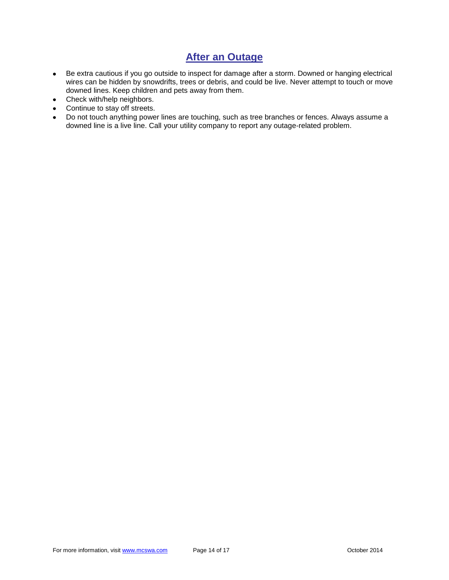### **After an Outage**

- Be extra cautious if you go outside to inspect for damage after a storm. Downed or hanging electrical  $\bullet$ wires can be hidden by snowdrifts, trees or debris, and could be live. Never attempt to touch or move downed lines. Keep children and pets away from them.
- Check with/help neighbors.
- Continue to stay off streets.  $\bullet$
- Do not touch anything power lines are touching, such as tree branches or fences. Always assume a  $\bullet$ downed line is a live line. Call your utility company to report any outage-related problem.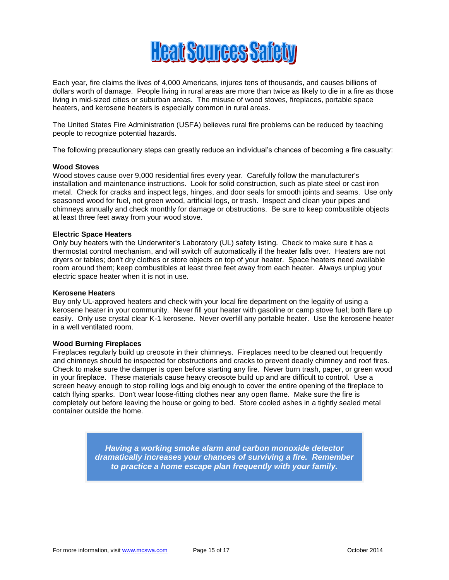

Each year, fire claims the lives of 4,000 Americans, injures tens of thousands, and causes billions of dollars worth of damage. People living in rural areas are more than twice as likely to die in a fire as those living in mid-sized cities or suburban areas. The misuse of wood stoves, fireplaces, portable space heaters, and kerosene heaters is especially common in rural areas.

The United States Fire Administration (USFA) believes rural fire problems can be reduced by teaching people to recognize potential hazards.

The following precautionary steps can greatly reduce an individual's chances of becoming a fire casualty:

#### **Wood Stoves**

Wood stoves cause over 9,000 residential fires every year. Carefully follow the manufacturer's installation and maintenance instructions. Look for solid construction, such as plate steel or cast iron metal. Check for cracks and inspect legs, hinges, and door seals for smooth joints and seams. Use only seasoned wood for fuel, not green wood, artificial logs, or trash. Inspect and clean your pipes and chimneys annually and check monthly for damage or obstructions. Be sure to keep combustible objects at least three feet away from your wood stove.

#### **Electric Space Heaters**

Only buy heaters with the Underwriter's Laboratory (UL) safety listing. Check to make sure it has a thermostat control mechanism, and will switch off automatically if the heater falls over. Heaters are not dryers or tables; don't dry clothes or store objects on top of your heater. Space heaters need available room around them; keep combustibles at least three feet away from each heater. Always unplug your electric space heater when it is not in use.

#### **Kerosene Heaters**

Buy only UL-approved heaters and check with your local fire department on the legality of using a kerosene heater in your community. Never fill your heater with gasoline or camp stove fuel; both flare up easily. Only use crystal clear K-1 kerosene. Never overfill any portable heater. Use the kerosene heater in a well ventilated room.

#### **Wood Burning Fireplaces**

Fireplaces regularly build up creosote in their chimneys. Fireplaces need to be cleaned out frequently and chimneys should be inspected for obstructions and cracks to prevent deadly chimney and roof fires. Check to make sure the damper is open before starting any fire. Never burn trash, paper, or green wood in your fireplace. These materials cause heavy creosote build up and are difficult to control. Use a screen heavy enough to stop rolling logs and big enough to cover the entire opening of the fireplace to catch flying sparks. Don't wear loose-fitting clothes near any open flame. Make sure the fire is completely out before leaving the house or going to bed. Store cooled ashes in a tightly sealed metal container outside the home.

> *Having a working smoke alarm and carbon monoxide detector dramatically increases your chances of surviving a fire. Remember to practice a home escape plan frequently with your family.*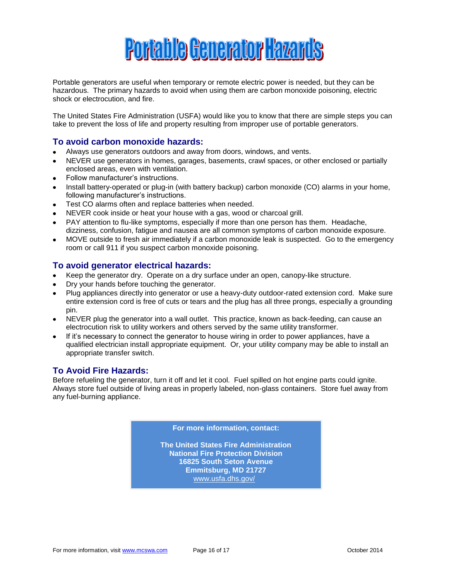# Portable Generator Hazard's

Portable generators are useful when temporary or remote electric power is needed, but they can be hazardous. The primary hazards to avoid when using them are carbon monoxide poisoning, electric shock or electrocution, and fire.

The United States Fire Administration (USFA) would like you to know that there are simple steps you can take to prevent the loss of life and property resulting from improper use of portable generators.

### **To avoid carbon monoxide hazards:**

- Always use generators outdoors and away from doors, windows, and vents.  $\bullet$
- NEVER use generators in homes, garages, basements, crawl spaces, or other enclosed or partially enclosed areas, even with ventilation.
- Follow manufacturer's instructions.
- Install battery-operated or plug-in (with battery backup) carbon monoxide (CO) alarms in your home, following manufacturer's instructions.
- Test CO alarms often and replace batteries when needed.
- NEVER cook inside or heat your house with a gas, wood or charcoal grill.
- PAY attention to flu-like symptoms, especially if more than one person has them. Headache, dizziness, confusion, fatigue and nausea are all common symptoms of carbon monoxide exposure.
- MOVE outside to fresh air immediately if a carbon monoxide leak is suspected. Go to the emergency room or call 911 if you suspect carbon monoxide poisoning.

#### **To avoid generator electrical hazards:**

- Keep the generator dry. Operate on a dry surface under an open, canopy-like structure.
- Dry your hands before touching the generator.
- Plug appliances directly into generator or use a heavy-duty outdoor-rated extension cord. Make sure entire extension cord is free of cuts or tears and the plug has all three prongs, especially a grounding pin.
- NEVER plug the generator into a wall outlet. This practice, known as back-feeding, can cause an electrocution risk to utility workers and others served by the same utility transformer.
- If it's necessary to connect the generator to house wiring in order to power appliances, have a qualified electrician install appropriate equipment. Or, your utility company may be able to install an appropriate transfer switch.

#### **To Avoid Fire Hazards:**

Before refueling the generator, turn it off and let it cool. Fuel spilled on hot engine parts could ignite. Always store fuel outside of living areas in properly labeled, non-glass containers. Store fuel away from any fuel-burning appliance.

**For more information, contact:**

**The United States Fire Administration National Fire Protection Division 16825 South Seton Avenue Emmitsburg, MD 21727** [www.usfa.dhs.gov/](http://www.usfa.dhs.gov/)